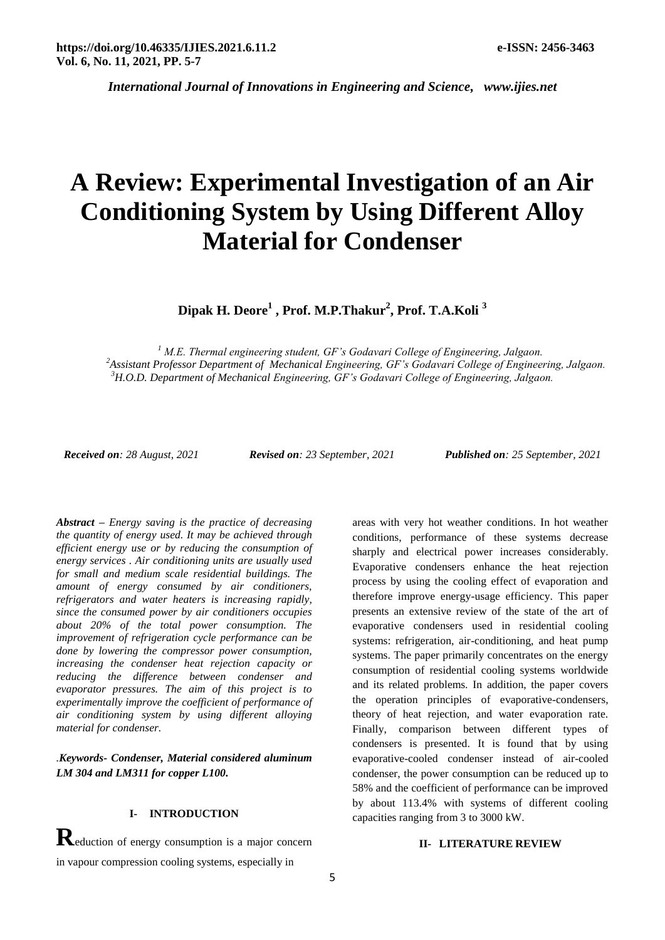*International Journal of Innovations in Engineering and Science, www.ijies.net*

# **A Review: Experimental Investigation of an Air Conditioning System by Using Different Alloy Material for Condenser**

**Dipak H. Deore<sup>1</sup> , Prof. M.P.Thakur<sup>2</sup> , Prof. T.A.Koli <sup>3</sup>**

*<sup>1</sup> M.E. Thermal engineering student, GF's Godavari College of Engineering, Jalgaon. <sup>2</sup>Assistant Professor Department of Mechanical Engineering, GF's Godavari College of Engineering, Jalgaon. <sup>3</sup>H.O.D. Department of Mechanical Engineering, GF's Godavari College of Engineering, Jalgaon.*

*Received on: 28 August, 2021 Revised on: 23 September, 2021 Published on: 25 September, 2021*

*Abstract – Energy saving is the practice of decreasing the quantity of energy used. It may be achieved through efficient energy use or by reducing the consumption of energy services . Air conditioning units are usually used for small and medium scale residential buildings. The amount of energy consumed by air conditioners, refrigerators and water heaters is increasing rapidly, since the consumed power by air conditioners occupies about 20% of the total power consumption. The improvement of refrigeration cycle performance can be done by lowering the compressor power consumption, increasing the condenser heat rejection capacity or reducing the difference between condenser and evaporator pressures. The aim of this project is to experimentally improve the coefficient of performance of air conditioning system by using different alloying material for condenser.*

*.Keywords- Condenser, Material considered aluminum LM 304 and LM311 for copper L100.*

# **I- INTRODUCTION**

**R**eduction of energy consumption is a major concern in vapour compression cooling systems, especially in

areas with very hot weather conditions. In hot weather conditions, performance of these systems decrease sharply and electrical power increases considerably. Evaporative condensers enhance the heat rejection process by using the cooling effect of evaporation and therefore improve energy-usage efficiency. This paper presents an extensive review of the state of the art of evaporative condensers used in residential cooling systems: refrigeration, air-conditioning, and heat pump systems. The paper primarily concentrates on the energy consumption of residential cooling systems worldwide and its related problems. In addition, the paper covers the operation principles of evaporative-condensers, theory of heat rejection, and water evaporation rate. Finally, comparison between different types of condensers is presented. It is found that by using evaporative-cooled condenser instead of air-cooled condenser, the power consumption can be reduced up to 58% and the coefficient of performance can be improved by about 113.4% with systems of different cooling capacities ranging from 3 to 3000 kW.

#### **II- LITERATURE REVIEW**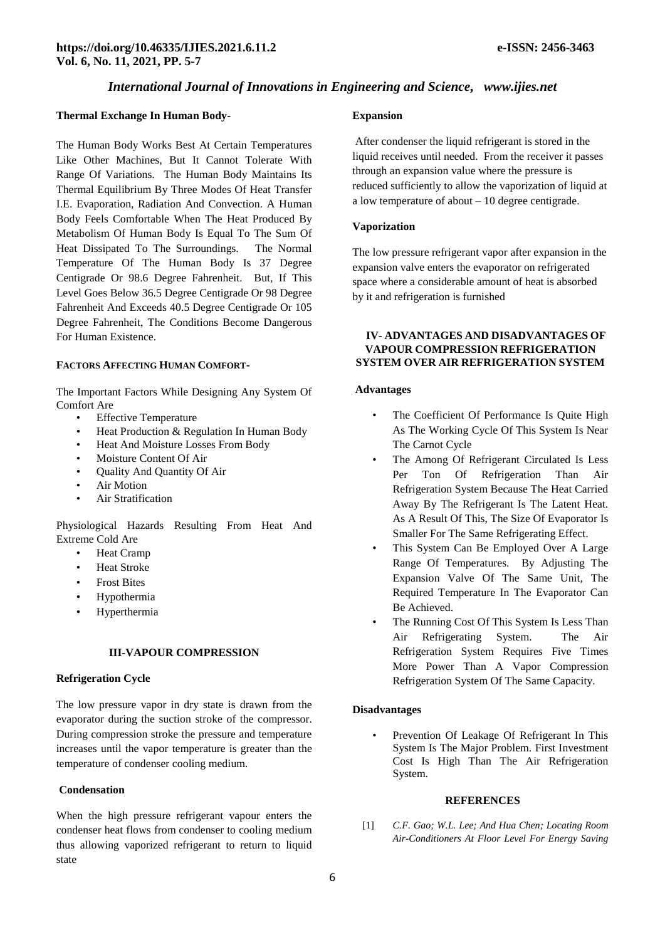# *International Journal of Innovations in Engineering and Science, www.ijies.net*

#### **Thermal Exchange In Human Body-**

The Human Body Works Best At Certain Temperatures Like Other Machines, But It Cannot Tolerate With Range Of Variations. The Human Body Maintains Its Thermal Equilibrium By Three Modes Of Heat Transfer I.E. Evaporation, Radiation And Convection. A Human Body Feels Comfortable When The Heat Produced By Metabolism Of Human Body Is Equal To The Sum Of Heat Dissipated To The Surroundings. The Normal Temperature Of The Human Body Is 37 Degree Centigrade Or 98.6 Degree Fahrenheit. But, If This Level Goes Below 36.5 Degree Centigrade Or 98 Degree Fahrenheit And Exceeds 40.5 Degree Centigrade Or 105 Degree Fahrenheit, The Conditions Become Dangerous For Human Existence.

#### **FACTORS AFFECTING HUMAN COMFORT-**

The Important Factors While Designing Any System Of Comfort Are

- Effective Temperature
- Heat Production & Regulation In Human Body
- Heat And Moisture Losses From Body
- Moisture Content Of Air
- Quality And Quantity Of Air
- Air Motion
- Air Stratification

Physiological Hazards Resulting From Heat And Extreme Cold Are

- Heat Cramp
- Heat Stroke
- Frost Bites
- Hypothermia
- Hyperthermia

#### **III-VAPOUR COMPRESSION**

#### **Refrigeration Cycle**

The low pressure vapor in dry state is drawn from the evaporator during the suction stroke of the compressor. During compression stroke the pressure and temperature increases until the vapor temperature is greater than the temperature of condenser cooling medium.

#### **Condensation**

When the high pressure refrigerant vapour enters the condenser heat flows from condenser to cooling medium thus allowing vaporized refrigerant to return to liquid state

#### **Expansion**

After condenser the liquid refrigerant is stored in the liquid receives until needed. From the receiver it passes through an expansion value where the pressure is reduced sufficiently to allow the vaporization of liquid at a low temperature of about – 10 degree centigrade.

#### **Vaporization**

The low pressure refrigerant vapor after expansion in the expansion valve enters the evaporator on refrigerated space where a considerable amount of heat is absorbed by it and refrigeration is furnished

# **IV- ADVANTAGES AND DISADVANTAGES OF VAPOUR COMPRESSION REFRIGERATION SYSTEM OVER AIR REFRIGERATION SYSTEM**

#### **Advantages**

- The Coefficient Of Performance Is Quite High As The Working Cycle Of This System Is Near The Carnot Cycle
- The Among Of Refrigerant Circulated Is Less Per Ton Of Refrigeration Than Air Refrigeration System Because The Heat Carried Away By The Refrigerant Is The Latent Heat. As A Result Of This, The Size Of Evaporator Is Smaller For The Same Refrigerating Effect.
- This System Can Be Employed Over A Large Range Of Temperatures. By Adjusting The Expansion Valve Of The Same Unit, The Required Temperature In The Evaporator Can Be Achieved.
- The Running Cost Of This System Is Less Than Air Refrigerating System. The Air Refrigeration System Requires Five Times More Power Than A Vapor Compression Refrigeration System Of The Same Capacity.

#### **Disadvantages**

• Prevention Of Leakage Of Refrigerant In This System Is The Major Problem. First Investment Cost Is High Than The Air Refrigeration System.

# **REFERENCES**

[1] *C.F. Gao; W.L. Lee; And Hua Chen; Locating Room Air-Conditioners At Floor Level For Energy Saving*